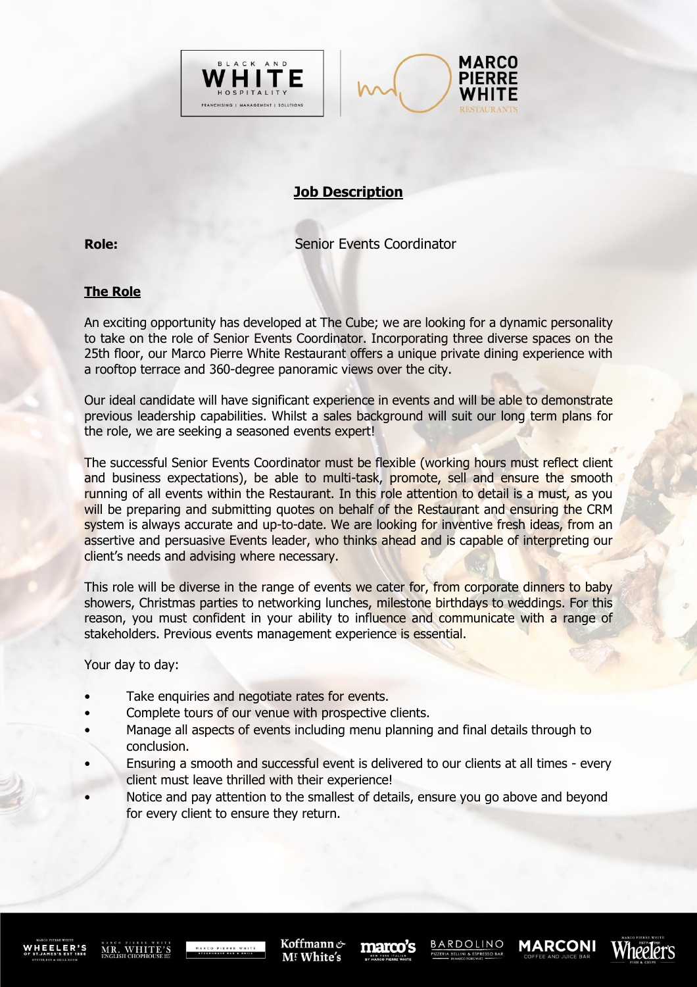



## **Job Description**

**Role: Senior Events Coordinator** 

## **The Role**

An exciting opportunity has developed at The Cube; we are looking for a dynamic personality to take on the role of Senior Events Coordinator. Incorporating three diverse spaces on the 25th floor, our Marco Pierre White Restaurant offers a unique private dining experience with a rooftop terrace and 360-degree panoramic views over the city.

Our ideal candidate will have significant experience in events and will be able to demonstrate previous leadership capabilities. Whilst a sales background will suit our long term plans for the role, we are seeking a seasoned events expert!

The successful Senior Events Coordinator must be flexible (working hours must reflect client and business expectations), be able to multi-task, promote, sell and ensure the smooth running of all events within the Restaurant. In this role attention to detail is a must, as you will be preparing and submitting quotes on behalf of the Restaurant and ensuring the CRM system is always accurate and up-to-date. We are looking for inventive fresh ideas, from an assertive and persuasive Events leader, who thinks ahead and is capable of interpreting our client's needs and advising where necessary.

This role will be diverse in the range of events we cater for, from corporate dinners to baby showers, Christmas parties to networking lunches, milestone birthdays to weddings. For this reason, you must confident in your ability to influence and communicate with a range of stakeholders. Previous events management experience is essential.

Your day to day:

- Take enquiries and negotiate rates for events.
- Complete tours of our venue with prospective clients.
- Manage all aspects of events including menu planning and final details through to conclusion.
- Ensuring a smooth and successful event is delivered to our clients at all times every client must leave thrilled with their experience!
- Notice and pay attention to the smallest of details, ensure you go above and beyond for every client to ensure they return.

WHEELER'S

MR. WHITE'S

Koffmann & M! White's

marco's

**BARDOLINO** 

**MARCONI** 

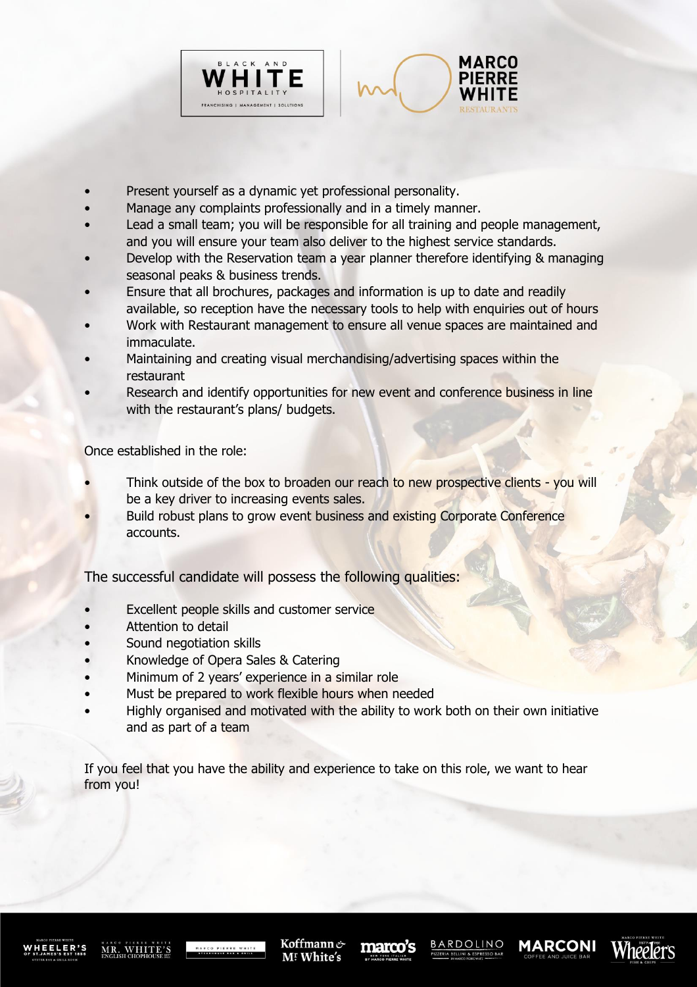



- Present yourself as a dynamic yet professional personality.
- Manage any complaints professionally and in a timely manner.
- Lead a small team; you will be responsible for all training and people management, and you will ensure your team also deliver to the highest service standards.
- Develop with the Reservation team a year planner therefore identifying & managing seasonal peaks & business trends.
- Ensure that all brochures, packages and information is up to date and readily available, so reception have the necessary tools to help with enquiries out of hours
- Work with Restaurant management to ensure all venue spaces are maintained and immaculate.
- Maintaining and creating visual merchandising/advertising spaces within the restaurant
- Research and identify opportunities for new event and conference business in line with the restaurant's plans/ budgets.

Once established in the role:

- Think outside of the box to broaden our reach to new prospective clients you will be a key driver to increasing events sales.
- Build robust plans to grow event business and existing Corporate Conference accounts.

The successful candidate will possess the following qualities:

- Excellent people skills and customer service
- Attention to detail
- Sound negotiation skills
- Knowledge of Opera Sales & Catering
- Minimum of 2 years' experience in a similar role
- Must be prepared to work flexible hours when needed
- Highly organised and motivated with the ability to work both on their own initiative and as part of a team

If you feel that you have the ability and experience to take on this role, we want to hear from you!

MR. WHITE'S

Koffmann & M! White's

marco's

**MARCONI**